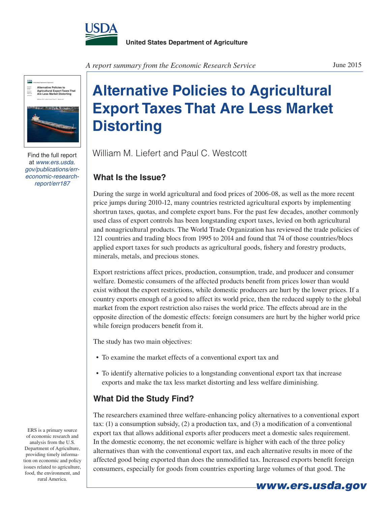

**USDA Alternative Policies to Agricultural Export Taxes That Are Less Market Distorting** Economic Research Report 187 William M. Liefert and Paul C. Westcott

Find the full report at *www.ers.usda. gov/publications/erreconomic-researchreport/err187*

*A report summary from the Economic Research Service*

## **Alternative Policies to Agricultural Export Taxes That Are Less Market Distorting**

William M. Liefert and Paul C. Westcott

## **What Is the Issue?**

During the surge in world agricultural and food prices of 2006-08, as well as the more recent price jumps during 2010-12, many countries restricted agricultural exports by implementing shortrun taxes, quotas, and complete export bans. For the past few decades, another commonly used class of export controls has been longstanding export taxes, levied on both agricultural and nonagricultural products. The World Trade Organization has reviewed the trade policies of 121 countries and trading blocs from 1995 to 2014 and found that 74 of those countries/blocs applied export taxes for such products as agricultural goods, fishery and forestry products, minerals, metals, and precious stones.

Export restrictions affect prices, production, consumption, trade, and producer and consumer welfare. Domestic consumers of the affected products benefit from prices lower than would exist without the export restrictions, while domestic producers are hurt by the lower prices. If a country exports enough of a good to affect its world price, then the reduced supply to the global market from the export restriction also raises the world price. The effects abroad are in the opposite direction of the domestic effects: foreign consumers are hurt by the higher world price while foreign producers benefit from it.

The study has two main objectives:

- To examine the market effects of a conventional export tax and
- To identify alternative policies to a longstanding conventional export tax that increase exports and make the tax less market distorting and less welfare diminishing.

## **What Did the Study Find?**

The researchers examined three welfare-enhancing policy alternatives to a conventional export tax: (1) a consumption subsidy, (2) a production tax, and (3) a modification of a conventional export tax that allows additional exports after producers meet a domestic sales requirement. In the domestic economy, the net economic welfare is higher with each of the three policy alternatives than with the conventional export tax, and each alternative results in more of the affected good being exported than does the unmodified tax. Increased exports benefit foreign consumers, especially for goods from countries exporting large volumes of that good. The

ERS is a primary source of economic research and analysis from the U.S. Department of Agriculture, providing timely information on economic and policy issues related to agriculture, food, the environment, and rural America.